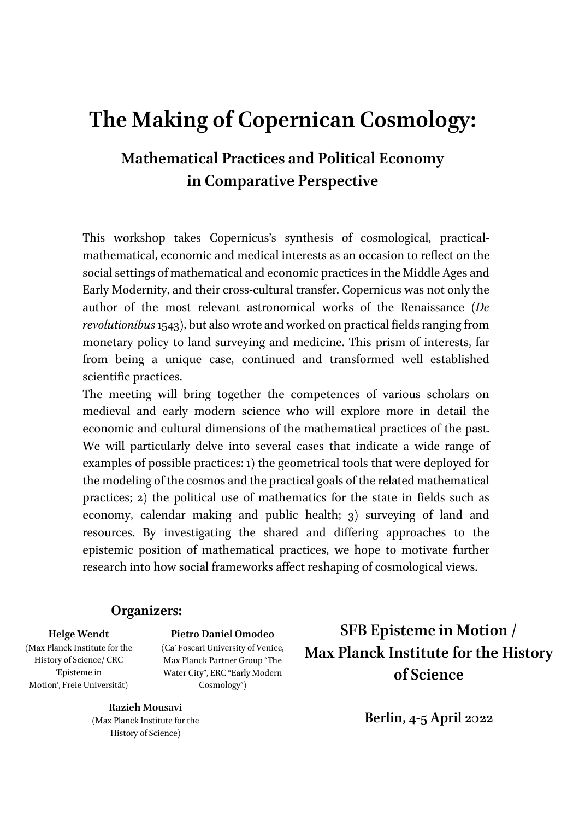# **The Making of Copernican Cosmology:**

## **Mathematical Practices and Political Economy in Comparative Perspective**

This workshop takes Copernicus's synthesis of cosmological, practicalmathematical, economic and medical interests as an occasion to reflect on the social settings of mathematical and economic practices in the Middle Ages and Early Modernity, and their cross-cultural transfer. Copernicus was not only the author of the most relevant astronomical works of the Renaissance (*De revolutionibus* 1543), but also wrote and worked on practical fields ranging from monetary policy to land surveying and medicine. This prism of interests, far from being a unique case, continued and transformed well established scientific practices.

The meeting will bring together the competences of various scholars on medieval and early modern science who will explore more in detail the economic and cultural dimensions of the mathematical practices of the past. We will particularly delve into several cases that indicate a wide range of examples of possible practices: 1) the geometrical tools that were deployed for the modeling of the cosmos and the practical goals of the related mathematical practices; 2) the political use of mathematics for the state in fields such as economy, calendar making and public health; 3) surveying of land and resources. By investigating the shared and differing approaches to the epistemic position of mathematical practices, we hope to motivate further research into how social frameworks affect reshaping of cosmological views.

#### **Organizers:**

#### **Helge Wendt**

(Max Planck Institute for the History of Science/ CRC 'Episteme in Motion', Freie Universität)

**Pietro Daniel Omodeo**  (Ca' Foscari University of Venice, Max Planck Partner Group "The Water City", ERC "Early Modern Cosmology")

**Razieh Mousavi**  (Max Planck Institute for the History of Science)

**SFB Episteme in Motion / Max Planck Institute for the History of Science** 

**Berlin, 4-5 April 2022**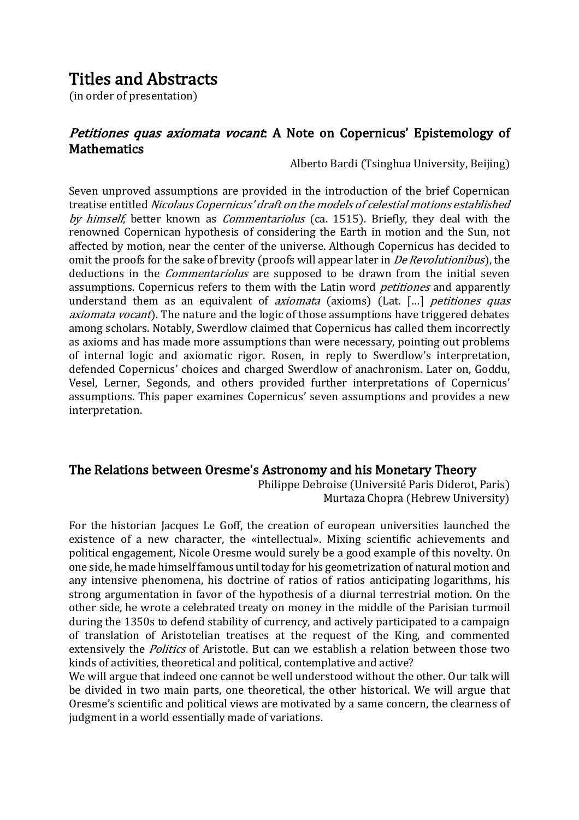### Titles and Abstracts

(in order of presentation)

#### *Petitiones quas axiomata vocant*: A Note on Copernicus' Epistemology of **Mathematics**

Alberto Bardi (Tsinghua University, Beijing)

Seven unproved assumptions are provided in the introduction of the brief Copernican treatise entitled Nicolaus Copernicus' draft on the models of celestial motions established by himself, better known as *Commentariolus* (ca. 1515). Briefly, they deal with the renowned Copernican hypothesis of considering the Earth in motion and the Sun, not affected by motion, near the center of the universe. Although Copernicus has decided to omit the proofs for the sake of brevity (proofs will appear later in *De Revolutionibus*), the deductions in the *Commentariolus* are supposed to be drawn from the initial seven assumptions. Copernicus refers to them with the Latin word *petitiones* and apparently understand them as an equivalent of *axiomata* (axioms) (Lat. [...] *petitiones quas* axiomata vocant). The nature and the logic of those assumptions have triggered debates among scholars. Notably, Swerdlow claimed that Copernicus has called them incorrectly as axioms and has made more assumptions than were necessary, pointing out problems of internal logic and axiomatic rigor. Rosen, in reply to Swerdlow's interpretation, defended Copernicus' choices and charged Swerdlow of anachronism. Later on, Goddu, Vesel, Lerner, Segonds, and others provided further interpretations of Copernicus' assumptions. This paper examines Copernicus' seven assumptions and provides a new interpretation.

#### The Relations between Oresme's Astronomy and his Monetary Theory

Philippe Debroise (Université Paris Diderot, Paris) Murtaza Chopra (Hebrew University)

For the historian Jacques Le Goff, the creation of european universities launched the existence of a new character, the «intellectual». Mixing scientific achievements and political engagement, Nicole Oresme would surely be a good example of this novelty. On one side, he made himself famous until today for his geometrization of natural motion and any intensive phenomena, his doctrine of ratios of ratios anticipating logarithms, his strong argumentation in favor of the hypothesis of a diurnal terrestrial motion. On the other side, he wrote a celebrated treaty on money in the middle of the Parisian turmoil during the 1350s to defend stability of currency, and actively participated to a campaign of translation of Aristotelian treatises at the request of the King, and commented extensively the *Politics* of Aristotle. But can we establish a relation between those two kinds of activities, theoretical and political, contemplative and active?

We will argue that indeed one cannot be well understood without the other. Our talk will be divided in two main parts, one theoretical, the other historical. We will argue that Oresme's scientific and political views are motivated by a same concern, the clearness of judgment in a world essentially made of variations.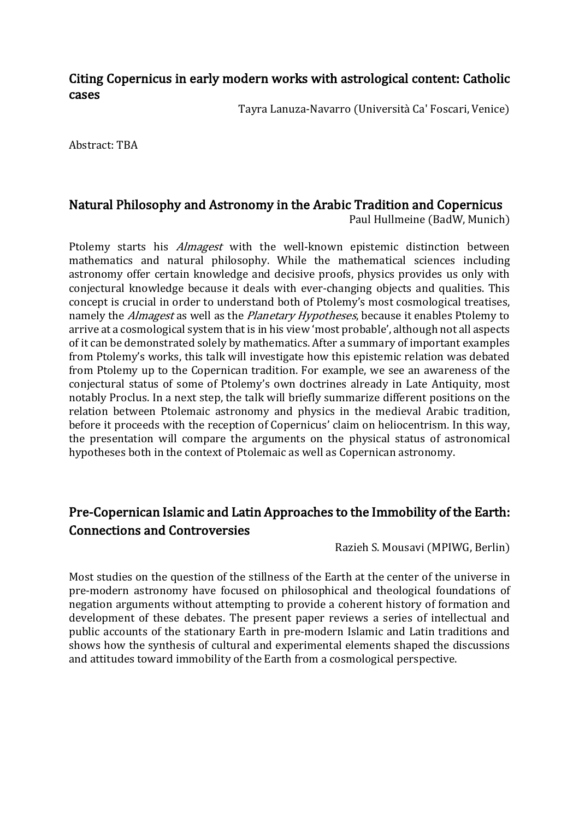#### Citing Copernicus in early modern works with astrological content: Catholic cases

Tayra Lanuza-Navarro (Università Ca' Foscari, Venice)

Abstract: TBA

### Natural Philosophy and Astronomy in the Arabic Tradition and Copernicus

Paul Hullmeine (BadW, Munich)

Ptolemy starts his *Almagest* with the well-known epistemic distinction between mathematics and natural philosophy. While the mathematical sciences including astronomy offer certain knowledge and decisive proofs, physics provides us only with conjectural knowledge because it deals with ever-changing objects and qualities. This concept is crucial in order to understand both of Ptolemy's most cosmological treatises, namely the *Almagest* as well as the *Planetary Hypotheses*, because it enables Ptolemy to arrive at a cosmological system that is in his view 'most probable', although not all aspects of it can be demonstrated solely by mathematics. After a summary of important examples from Ptolemy's works, this talk will investigate how this epistemic relation was debated from Ptolemy up to the Copernican tradition. For example, we see an awareness of the conjectural status of some of Ptolemy's own doctrines already in Late Antiquity, most notably Proclus. In a next step, the talk will briefly summarize different positions on the relation between Ptolemaic astronomy and physics in the medieval Arabic tradition, before it proceeds with the reception of Copernicus' claim on heliocentrism. In this way, the presentation will compare the arguments on the physical status of astronomical hypotheses both in the context of Ptolemaic as well as Copernican astronomy.

### Pre-Copernican Islamic and Latin Approaches to the Immobility of the Earth: Connections and Controversies

Razieh S. Mousavi (MPIWG, Berlin)

Most studies on the question of the stillness of the Earth at the center of the universe in pre-modern astronomy have focused on philosophical and theological foundations of negation arguments without attempting to provide a coherent history of formation and development of these debates. The present paper reviews a series of intellectual and public accounts of the stationary Earth in pre-modern Islamic and Latin traditions and shows how the synthesis of cultural and experimental elements shaped the discussions and attitudes toward immobility of the Earth from a cosmological perspective.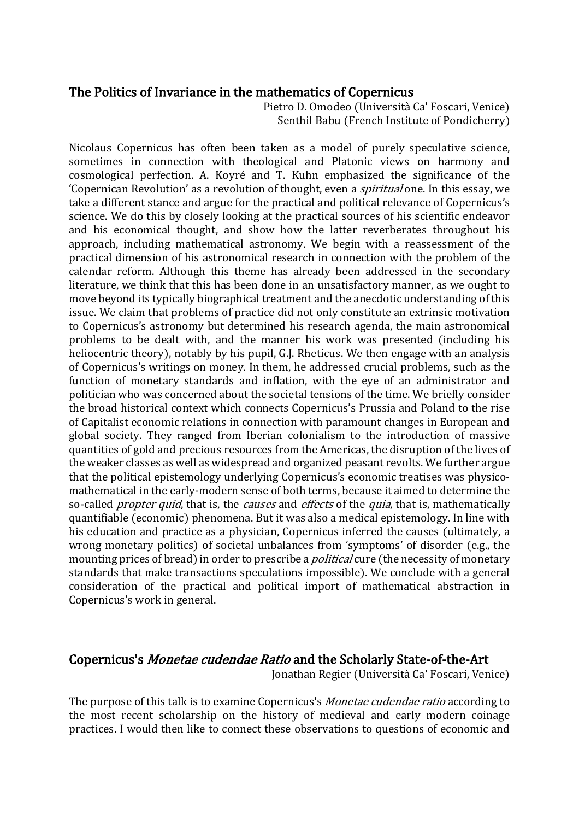#### The Politics of Invariance in the mathematics of Copernicus

Pietro D. Omodeo (Università Ca' Foscari, Venice) Senthil Babu (French Institute of Pondicherry)

Nicolaus Copernicus has often been taken as a model of purely speculative science, sometimes in connection with theological and Platonic views on harmony and cosmological perfection. A. Koyré and T. Kuhn emphasized the significance of the 'Copernican Revolution' as a revolution of thought, even a *spiritual* one. In this essay, we take a different stance and argue for the practical and political relevance of Copernicus's science. We do this by closely looking at the practical sources of his scientific endeavor and his economical thought, and show how the latter reverberates throughout his approach, including mathematical astronomy. We begin with a reassessment of the practical dimension of his astronomical research in connection with the problem of the calendar reform. Although this theme has already been addressed in the secondary literature, we think that this has been done in an unsatisfactory manner, as we ought to move beyond its typically biographical treatment and the anecdotic understanding of this issue. We claim that problems of practice did not only constitute an extrinsic motivation to Copernicus's astronomy but determined his research agenda, the main astronomical problems to be dealt with, and the manner his work was presented (including his heliocentric theory), notably by his pupil, G.J. Rheticus. We then engage with an analysis of Copernicus's writings on money. In them, he addressed crucial problems, such as the function of monetary standards and inflation, with the eye of an administrator and politician who was concerned about the societal tensions of the time. We briefly consider the broad historical context which connects Copernicus's Prussia and Poland to the rise of Capitalist economic relations in connection with paramount changes in European and global society. They ranged from Iberian colonialism to the introduction of massive quantities of gold and precious resources from the Americas, the disruption of the lives of the weaker classes as well as widespread and organized peasant revolts. We further argue that the political epistemology underlying Copernicus's economic treatises was physicomathematical in the early-modern sense of both terms, because it aimed to determine the so-called *propter quid*, that is, the *causes* and *effects* of the *quia*, that is, mathematically quantifiable (economic) phenomena. But it was also a medical epistemology. In line with his education and practice as a physician, Copernicus inferred the causes (ultimately, a wrong monetary politics) of societal unbalances from 'symptoms' of disorder (e.g., the mounting prices of bread) in order to prescribe a *political* cure (the necessity of monetary standards that make transactions speculations impossible). We conclude with a general consideration of the practical and political import of mathematical abstraction in Copernicus's work in general.

#### Copernicus's Monetae cudendae Ratio and the Scholarly State-of-the-Art

Jonathan Regier (Università Ca' Foscari, Venice)

The purpose of this talk is to examine Copernicus's *Monetae cudendae ratio* according to the most recent scholarship on the history of medieval and early modern coinage practices. I would then like to connect these observations to questions of economic and